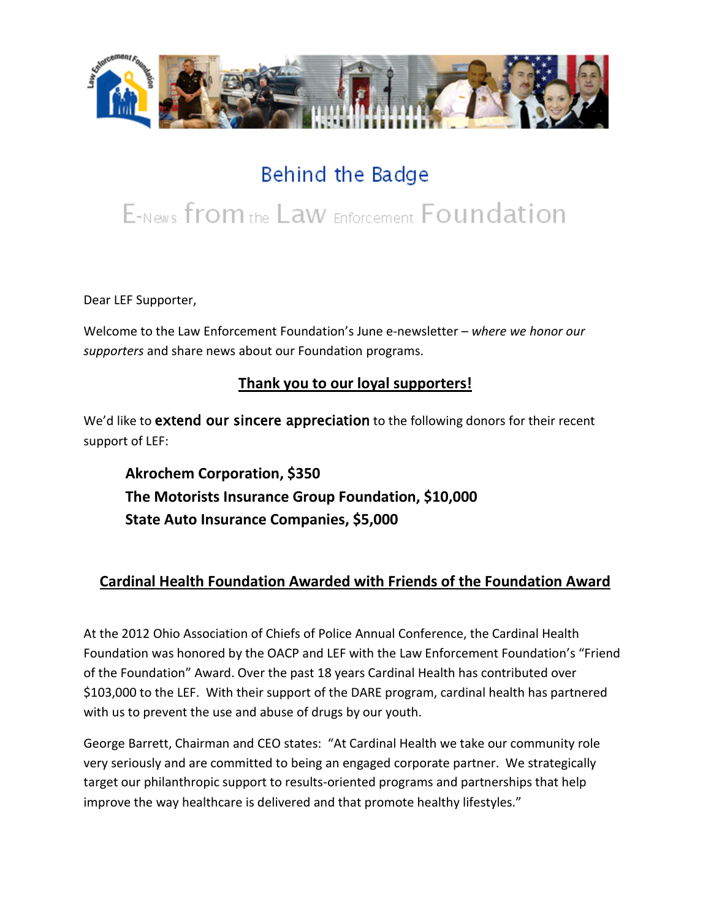

## Behind the Badge

# E-News from the Law Enforcement Foundation

Dear LEF Supporter,

Welcome to the Law Enforcement Foundation's June e-newsletter *– where we honor our supporters* and share news about our Foundation programs.

#### **Thank you to our loyal supporters!**

We'd like to **extend our sincere appreciation** to the following donors for their recent support of LEF:

**Akrochem Corporation, \$350 The Motorists Insurance Group Foundation, \$10,000 State Auto Insurance Companies, \$5,000**

### **Cardinal Health Foundation Awarded with Friends of the Foundation Award**

At the 2012 Ohio Association of Chiefs of Police Annual Conference, the Cardinal Health Foundation was honored by the OACP and LEF with the Law Enforcement Foundation's "Friend of the Foundation" Award. Over the past 18 years Cardinal Health has contributed over \$103,000 to the LEF. With their support of the DARE program, cardinal health has partnered with us to prevent the use and abuse of drugs by our youth.

George Barrett, Chairman and CEO states: "At Cardinal Health we take our community role very seriously and are committed to being an engaged corporate partner. We strategically target our philanthropic support to results-oriented programs and partnerships that help improve the way healthcare is delivered and that promote healthy lifestyles."